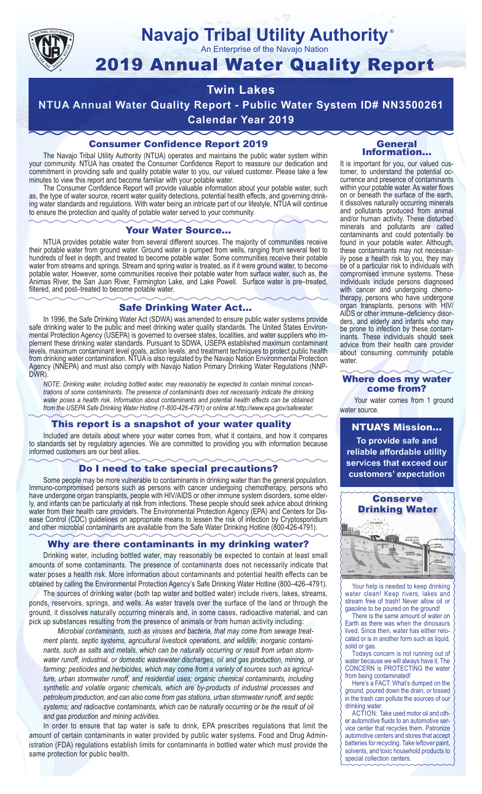

# **Navajo Tribal Utility Authority** ®

An Enterprise of the Navajo Nation

# 2019 Annual Water Quality Report

# **Twin Lakes**

**NTUA Annual Water Quality Report - Public Water System ID# NN3500261 Calendar Year 2019**

# Consumer Confidence Report 2019

The Navajo Tribal Utility Authority (NTUA) operates and maintains the public water system within your community. NTUA has created the Consumer Confidence Report to reassure our dedication and commitment in providing safe and quality potable water to you, our valued customer. Please take a few minutes to view this report and become familiar with your potable water.

The Consumer Confidence Report will provide valuable information about your potable water, such as, the type of water source, recent water quality detections, potential health effects, and governing drinking water standards and regulations. With water being an intricate part of our lifestyle, NTUA will continue to ensure the protection and quality of potable water served to your community.

#### Your Water Source…

NTUA provides potable water from several different sources. The majority of communities receive their potable water from ground water. Ground water is pumped from wells, ranging from several feet to hundreds of feet in depth, and treated to become potable water. Some communities receive their potable water from streams and springs. Stream and spring water is treated, as if it were ground water, to become potable water. However, some communities receive their potable water from surface water, such as, the Animas River, the San Juan River, Farmington Lake, and Lake Powell. Surface water is pre–treated, filtered, and post–treated to become potable water.

### Safe Drinking Water Act…

In 1996, the Safe Drinking Water Act (SDWA) was amended to ensure public water systems provide safe drinking water to the public and meet drinking water quality standards. The United States Environmental Protection Agency (USEPA) is governed to oversee states, localities, and water suppliers who implement these drinking water standards. Pursuant to SDWA, USEPA established maximum contaminant levels, maximum contaminant level goals, action levels, and treatment techniques to protect public health from drinking water contamination. NTUA is also regulated by the Navajo Nation Environmental Protection Agency (NNEPA) and must also comply with Navajo Nation Primary Drinking Water Regulations (NNP-DWR)

*NOTE: Drinking water, including bottled water, may reasonably be expected to contain minimal concentrations of some contaminants. The presence of contaminants does not necessarily indicate the drinking water poses a health risk. Information about contaminants and potential health effects can be obtained from the USEPA Safe Drinking Water Hotline (1-800-426-4791) or online at http://www.epa.gov/safewater.*

# This report is a snapshot of your water quality

Included are details about where your water comes from, what it contains, and how it compares to standards set by regulatory agencies. We are committed to providing you with information because informed customers are our best allies.

## Do I need to take special precautions?

Some people may be more vulnerable to contaminants in drinking water than the general population. Immuno-compromised persons such as persons with cancer undergoing chemotherapy, persons who have undergone organ transplants, people with HIV/AIDS or other immune system disorders, some elderly, and infants can be particularly at risk from infections. These people should seek advice about drinking water from their health care providers. The Environmental Protection Agency (EPA) and Centers for Disease Control (CDC) guidelines on appropriate means to lessen the risk of infection by Cryptosporidium and other microbial contaminants are available from the Safe Water Drinking Hotline (800-426-4791).

# Why are there contaminants in my drinking water?

Drinking water, including bottled water, may reasonably be expected to contain at least small amounts of some contaminants. The presence of contaminants does not necessarily indicate that water poses a health risk. More information about contaminants and potential health effects can be obtained by calling the Environmental Protection Agency's Safe Drinking Water Hotline (800–426–4791).

The sources of drinking water (both tap water and bottled water) include rivers, lakes, streams, ponds, reservoirs, springs, and wells. As water travels over the surface of the land or through the ground, it dissolves naturally occurring minerals and, in some cases, radioactive material, and can pick up substances resulting from the presence of animals or from human activity including:

*Microbial contaminants, such as viruses and bacteria, that may come from sewage treatment plants, septic systems, agricultural livestock operations, and wildlife; inorganic contaminants, such as salts and metals, which can be naturally occurring or result from urban stormwater runoff, industrial, or domestic wastewater discharges, oil and gas production, mining, or farming; pesticides and herbicides, which may come from a variety of sources such as agriculture, urban stormwater runoff, and residential uses; organic chemical contaminants, including synthetic and volatile organic chemicals, which are by-products of industrial processes and petroleum production, and can also come from gas stations, urban stormwater runoff, and septic systems; and radioactive contaminants, which can be naturally occurring or be the result of oil and gas production and mining activities.*

In order to ensure that tap water is safe to drink, EPA prescribes regulations that limit the amount of certain contaminants in water provided by public water systems. Food and Drug Administration (FDA) regulations establish limits for contaminants in bottled water which must provide the same protection for public health.

#### General Information…

It is important for you, our valued customer, to understand the potential occurrence and presence of contaminants within your potable water. As water flows on or beneath the surface of the earth, it dissolves naturally occurring minerals and pollutants produced from animal and/or human activity. These disturbed minerals and pollutants are called contaminants and could potentially be found in your potable water. Although, these contaminants may not necessarily pose a health risk to you, they may be of a particular risk to individuals with compromised immune systems. These individuals include persons diagnosed with cancer and undergoing chemo-<br>therapy, persons who have undergone organ transplants, persons with HIV/ AIDS or other immune–deficiency disor- ders, and elderly and infants who may be prone to infection by these contam- inants. These individuals should seek advice from their health care provider about consuming community potable water.

#### Where does my water come from?

Your water comes from 1 ground water source.

NTUA'S Mission... **To provide safe and reliable affordable utility services that exceed our customers' expectation**



Your help is needed to keep drinking water clean! Keep rivers, lakes and stream free of trash! Never allow oil or gasoline to be poured on the ground!

There is the same amount of water on Earth as there was when the dinosaurs lived. Since then, water has either relocated or is in another form such as liquid, solid or gas.

Todays concern is not running out of water because we will always have it. The CONCERN is PROTECTING the water from being contaminated!

Here's a FACT: What's dumped on the ground, poured down the drain, or tossed in the trash can pollute the sources of our drinking water.

ACTION: Take used motor oil and other automotive fluids to an automotive service center that recycles them. Patronize automotive centers and stores that accept batteries for recycling. Take leftover paint, solvents, and toxic household products to special collection centers.